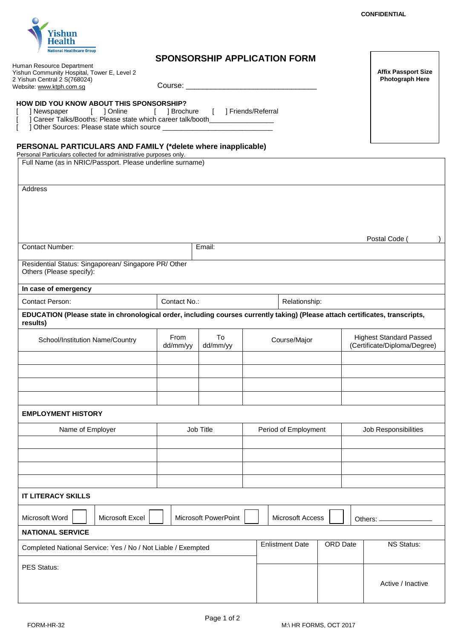**Affix Passport Size** 



Yishun Community Hospital, Tower E, Level 2

Human Resource Department

## **SPONSORSHIP APPLICATION FORM**

 **HOW DID YOU KNOW ABOUT THIS SPONSORSHIP?** [ ] Newspaper [ ] Online [ ] Brochure [ ] Friends/Referral Career Talks/Booths: Please state which career talk/booth [ ] Other Sources: Please state which source \_\_\_\_\_\_\_\_\_\_\_\_\_\_\_\_\_\_\_\_\_\_\_\_\_\_\_\_\_ Course: \_\_\_ **PERSONAL PARTICULARS AND FAMILY (\*delete where inapplicable)** Personal Particulars collected for administrative purposes only. Full Name (as in NRIC/Passport. Please underline surname) Address Postal Code ( ) **Contact Number: Email: Email: Email:** Residential Status: Singaporean/ Singapore PR/ Other Others (Please specify): **In case of emergency**  Contact Person: Contact No.: Relationship: **EDUCATION (Please state in chronological order, including courses currently taking) (Please attach certificates, transcripts, results)** School/Institution Name/Country From To Course/Major Highest Standard Passed<br>dd/mm/yy dd/mm/yy Highest Certificate/Diploma/Degree (Certificate/Diploma/Degree) **EMPLOYMENT HISTORY** Name of Employer **Name of Employer** Job Title Period of Employment Job Responsibilities **IT LITERACY SKILLS** Microsoft Word | | Microsoft Excel | | Microsoft PowerPoint | | Microsoft Access | | | Others: \_ **NATIONAL SERVICE** Completed National Service: Yes / No / Not Liable / Exempted Enlistment Date | ORD Date | NS Status: PES Status: Active / Inactive 2 Yishun Central 2 S(768024) Website: www.ktph.com.sg **Photograph Here**